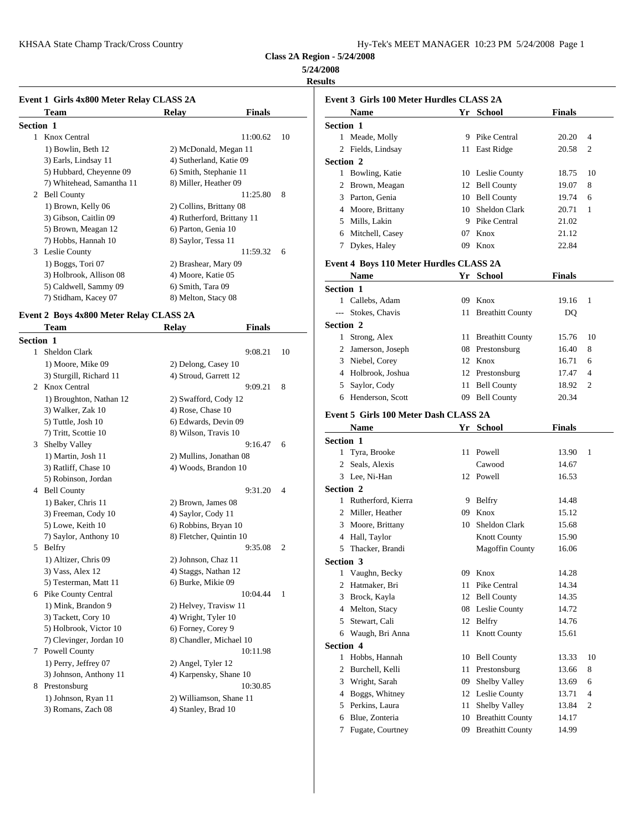KHSAA State Champ Track/Cross Country Hy-Tek's MEET MANAGER 10:23 PM 5/24/2008 Page 1

**Class 2A Region - 5/24/2008**

**5/24/2008**

### **Results**

| Event 1 Girls 4x800 Meter Relay CLASS 2A |                            |                | Event 3 Gi       |
|------------------------------------------|----------------------------|----------------|------------------|
| Team                                     | Relay                      | <b>Finals</b>  | <b>Nam</b>       |
| <b>Section 1</b>                         |                            |                | <b>Section 1</b> |
| 1 Knox Central                           |                            | 11:00.62<br>10 | Mead<br>1.       |
| 1) Bowlin, Beth 12                       | 2) McDonald, Megan 11      |                | 2 Fields         |
| 3) Earls, Lindsay 11                     | 4) Sutherland, Katie 09    |                | Section 2        |
| 5) Hubbard, Cheyenne 09                  | 6) Smith, Stephanie 11     |                | Bowli<br>1       |
| 7) Whitehead, Samantha 11                | 8) Miller, Heather 09      |                | <b>Brow</b>      |
| <b>Bell County</b><br>2                  |                            | 8<br>11:25.80  | 3<br>Partor      |
| 1) Brown, Kelly 06                       | 2) Collins, Brittany 08    |                | Moor             |
| 3) Gibson, Caitlin 09                    | 4) Rutherford, Brittany 11 |                | Mills,<br>5      |
| 5) Brown, Meagan 12                      | 6) Parton, Genia 10        |                | Mitch<br>6       |
| 7) Hobbs, Hannah 10                      | 8) Saylor, Tessa 11        |                | Dyke:            |
| Leslie County<br>3                       |                            | 11:59.32<br>6  |                  |
| 1) Boggs, Tori 07                        | 2) Brashear, Mary 09       |                | Event 4 Bo       |
| 3) Holbrook, Allison 08                  | 4) Moore, Katie 05         |                | <b>Nam</b>       |
| 5) Caldwell, Sammy 09                    | 6) Smith, Tara 09          |                | Section 1        |
| 7) Stidham, Kacey 07                     | 8) Melton, Stacy 08        |                | Callel           |

## **Event 2 Boys 4x800 Meter Relay CLASS 2A**

|                  | Team                    | <b>Relay</b>            | <b>Finals</b> |                | Section 2      |               |
|------------------|-------------------------|-------------------------|---------------|----------------|----------------|---------------|
| <b>Section 1</b> |                         |                         |               |                | 1              | Strong        |
| $\mathbf{1}$     | Sheldon Clark           |                         | 9:08.21       | 10             | $\overline{c}$ | Jamer         |
|                  | 1) Moore, Mike 09       | 2) Delong, Casey 10     |               |                | 3              | Niebe         |
|                  | 3) Sturgill, Richard 11 | 4) Stroud, Garrett 12   |               |                | 4              | Holbr         |
|                  | 2 Knox Central          |                         | 9:09.21       | 8              | 5              | Saylo         |
|                  | 1) Broughton, Nathan 12 | 2) Swafford, Cody 12    |               |                | 6              | Hend          |
|                  | 3) Walker, Zak 10       | 4) Rose, Chase 10       |               |                |                |               |
|                  | 5) Tuttle, Josh 10      | 6) Edwards, Devin 09    |               |                | Event 5 Gi     |               |
|                  | 7) Tritt, Scottie 10    | 8) Wilson, Travis 10    |               |                |                | <b>Nam</b>    |
| 3                | Shelby Valley           |                         | 9:16.47       | 6              | Section 1      |               |
|                  | 1) Martin, Josh 11      | 2) Mullins, Jonathan 08 |               |                | 1              | Tyra,         |
|                  | 3) Ratliff, Chase 10    | 4) Woods, Brandon 10    |               |                | 2              | Seals,        |
|                  | 5) Robinson, Jordan     |                         |               |                | 3              | Lee, $\Gamma$ |
|                  | 4 Bell County           |                         | 9:31.20       | $\overline{4}$ | Section 2      |               |
|                  | 1) Baker, Chris 11      | 2) Brown, James 08      |               |                |                | 1 Ruthe       |
|                  | 3) Freeman, Cody 10     | 4) Saylor, Cody 11      |               |                | 2              | Miller        |
|                  | 5) Lowe, Keith 10       | 6) Robbins, Bryan 10    |               |                | 3              | Moor          |
|                  | 7) Saylor, Anthony 10   | 8) Fletcher, Quintin 10 |               |                | 4              | Hall,         |
| 5                | Belfry                  |                         | 9:35.08       | $\overline{2}$ | 5              | Thack         |
|                  | 1) Altizer, Chris 09    | 2) Johnson, Chaz 11     |               |                | Section 3      |               |
|                  | 3) Vass, Alex 12        | 4) Staggs, Nathan 12    |               |                | 1              | Vaugl         |
|                  | 5) Testerman, Matt 11   | 6) Burke, Mikie 09      |               |                | 2              | Hatm          |
|                  | 6 Pike County Central   |                         | 10:04.44      | $\mathbf{1}$   | 3              | <b>Brock</b>  |
|                  | 1) Mink, Brandon 9      | 2) Helvey, Travisw 11   |               |                | 4              | Melto         |
|                  | 3) Tackett, Cory 10     | 4) Wright, Tyler 10     |               |                | 5              | Stewa         |
|                  | 5) Holbrook, Victor 10  | 6) Forney, Corey 9      |               |                | 6              | Waug          |
|                  | 7) Clevinger, Jordan 10 | 8) Chandler, Michael 10 |               |                | Section 4      |               |
|                  | 7 Powell County         |                         | 10:11.98      |                | 1              | Hobb          |
|                  | 1) Perry, Jeffrey 07    | 2) Angel, Tyler 12      |               |                | 2              | <b>Burch</b>  |
|                  | 3) Johnson, Anthony 11  | 4) Karpensky, Shane 10  |               |                | 3              | Wrigh         |
|                  | 8 Prestonsburg          |                         | 10:30.85      |                | 4              | Bogg:         |
|                  | 1) Johnson, Ryan 11     | 2) Williamson, Shane 11 |               |                | 5              | Perkin        |
|                  | 3) Romans, Zach 08      | 4) Stanley, Brad 10     |               |                |                |               |

|                  | Event 3 Girls 100 Meter Hurdles CLASS 2A      |    |                        |               |    |
|------------------|-----------------------------------------------|----|------------------------|---------------|----|
|                  | <b>Name</b>                                   |    | Yr School              | <b>Finals</b> |    |
| <b>Section 1</b> |                                               |    |                        |               |    |
|                  | 1 Meade, Molly                                |    | 9 Pike Central         | 20.20         | 4  |
|                  | 2 Fields, Lindsay                             |    | 11 East Ridge          | 20.58         | 2  |
| Section 2        |                                               |    |                        |               |    |
|                  | 1 Bowling, Katie                              |    | 10 Leslie County       | 18.75         | 10 |
|                  | 2 Brown, Meagan                               |    | 12 Bell County         | 19.07         | 8  |
|                  | 3 Parton, Genia                               |    | 10 Bell County         | 19.74         | 6  |
|                  | 4 Moore, Brittany                             |    | 10 Sheldon Clark       | 20.71         | 1  |
|                  | 5 Mills, Lakin                                |    | 9 Pike Central         | 21.02         |    |
|                  | 6 Mitchell, Casey                             |    | 07 Knox                | 21.12         |    |
|                  | 7 Dykes, Haley                                |    | 09 Knox                | 22.84         |    |
|                  | Event 4 Boys 110 Meter Hurdles CLASS 2A       |    |                        |               |    |
|                  | Name                                          |    | Yr School              | <b>Finals</b> |    |
| <b>Section 1</b> |                                               |    |                        |               |    |
|                  | 1 Callebs, Adam                               |    | 09 Knox                | 19.16         | 1  |
|                  | --- Stokes, Chavis                            |    | 11 Breathitt County    | DQ            |    |
| <b>Section 2</b> |                                               |    |                        |               |    |
|                  | 1 Strong, Alex                                |    | 11 Breathitt County    | 15.76         | 10 |
|                  | 2 Jamerson, Joseph                            |    | 08 Prestonsburg        | 16.40         | 8  |
|                  | 3 Niebel, Corey                               |    | 12 Knox                | 16.71         | 6  |
|                  | 4 Holbrook, Joshua                            |    | 12 Prestonsburg        | 17.47         | 4  |
|                  | 5 Saylor, Cody                                |    | 11 Bell County         | 18.92         | 2  |
|                  | 6 Henderson, Scott                            |    | 09 Bell County         | 20.34         |    |
|                  |                                               |    |                        |               |    |
|                  | Event 5 Girls 100 Meter Dash CLASS 2A<br>Name |    | Yr School              | Finals        |    |
| <b>Section 1</b> |                                               |    |                        |               |    |
|                  | 1 Tyra, Brooke                                |    | 11 Powell              | 13.90         | 1  |
|                  | 2 Seals, Alexis                               |    | Cawood                 | 14.67         |    |
|                  | 3 Lee, Ni-Han                                 |    | 12 Powell              | 16.53         |    |
| Section 2        |                                               |    |                        |               |    |
|                  | 1 Rutherford, Kierra                          |    | 9 Belfry               | 14.48         |    |
|                  | 2 Miller, Heather                             |    | 09 Knox                | 15.12         |    |
|                  | 3 Moore, Brittany                             |    | 10 Sheldon Clark       | 15.68         |    |
|                  | 4 Hall, Taylor                                |    | <b>Knott County</b>    | 15.90         |    |
|                  | 5 Thacker, Brandi                             |    | <b>Magoffin County</b> | 16.06         |    |
|                  | <b>Section 3</b>                              |    |                        |               |    |
|                  | 1 Vaughn, Becky                               |    | 09 Knox                | 14.28         |    |
|                  | 2 Hatmaker, Bri                               | 11 | Pike Central           | 14.34         |    |
| 3                | Brock, Kayla                                  | 12 | <b>Bell County</b>     | 14.35         |    |
| 4                | Melton, Stacy                                 | 08 | Leslie County          | 14.72         |    |
| 5                | Stewart, Cali                                 |    | 12 Belfry              | 14.76         |    |
| 6                | Waugh, Bri Anna                               |    | 11 Knott County        | 15.61         |    |
| Section 4        |                                               |    |                        |               |    |
|                  | 1 Hobbs, Hannah                               |    | 10 Bell County         | 13.33         | 10 |
| $\overline{2}$   | Burchell, Kelli                               | 11 | Prestonsburg           | 13.66         | 8  |
| 3                | Wright, Sarah                                 | 09 | Shelby Valley          | 13.69         | 6  |
| 4                | Boggs, Whitney                                |    | 12 Leslie County       | 13.71         | 4  |
| 5                | Perkins, Laura                                | 11 | Shelby Valley          | 13.84         | 2  |
| 6                | Blue, Zonteria                                |    | 10 Breathitt County    | 14.17         |    |
| 7                | Fugate, Courtney                              |    | 09 Breathitt County    | 14.99         |    |
|                  |                                               |    |                        |               |    |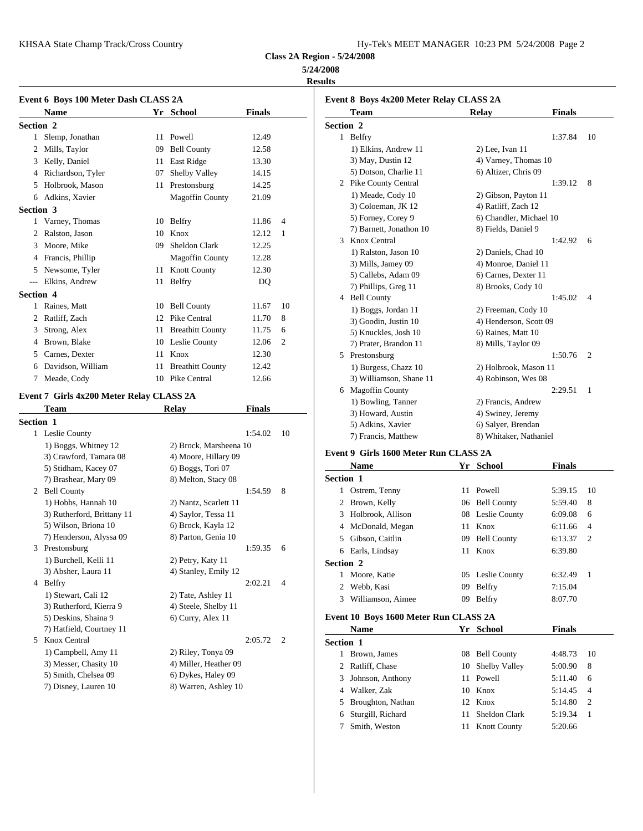KHSAA State Champ Track/Cross Country

**Class 2A Region - 5/24/2008**

## **5/24/2008**

**Results**

|           | Event 6 Boys 100 Meter Dash CLASS 2A       |    |                                             |               |                | <b>Event 8 Boys 4</b>        |
|-----------|--------------------------------------------|----|---------------------------------------------|---------------|----------------|------------------------------|
|           | Name                                       |    | Yr School                                   | <b>Finals</b> |                | Team                         |
| Section 2 |                                            |    |                                             |               |                | Section 2                    |
|           | 1 Slemp, Jonathan                          |    | 11 Powell                                   | 12.49         |                | 1 Belfry                     |
|           | 2 Mills, Taylor                            |    | 09 Bell County                              | 12.58         |                | 1) Elkins,                   |
|           | 3 Kelly, Daniel                            |    | 11 East Ridge                               | 13.30         |                | 3) May, D                    |
|           | 4 Richardson, Tyler                        | 07 | Shelby Valley                               | 14.15         |                | 5) Dotson,                   |
|           | 5 Holbrook, Mason                          |    | 11 Prestonsburg                             | 14.25         |                | 2 Pike Coun                  |
|           | 6 Adkins, Xavier                           |    | <b>Magoffin County</b>                      | 21.09         |                | 1) Meade,                    |
| Section 3 |                                            |    |                                             |               |                | 3) Coloem                    |
|           | 1 Varney, Thomas                           |    | 10 Belfry                                   | 11.86         | $\overline{4}$ | 5) Forney,                   |
|           | 2 Ralston, Jason                           |    | 10 Knox                                     | 12.12         | 1              | 7) Barnett,                  |
|           | 3 Moore, Mike                              |    | 09 Sheldon Clark                            | 12.25         |                | 3 Knox Cent                  |
|           | 4 Francis, Phillip                         |    | <b>Magoffin County</b>                      | 12.28         |                | 1) Ralston                   |
|           | 5 Newsome, Tyler                           |    | 11 Knott County                             | 12.30         |                | 3) Mills, Ja                 |
|           | --- Elkins, Andrew                         |    | 11 Belfry                                   | DQ            |                | 5) Callebs,                  |
| Section 4 |                                            |    |                                             |               |                | 7) Phillips,<br>4 Bell Count |
|           | 1 Raines, Matt                             |    | 10 Bell County                              | 11.67         | 10             |                              |
|           | 2 Ratliff, Zach                            |    | 12 Pike Central                             | 11.70         | 8              | $1)$ Boggs,<br>3) Goodin,    |
|           | 3 Strong, Alex                             |    | 11 Breathitt County                         | 11.75         | 6              | 5) Knuckle                   |
|           | 4 Brown, Blake                             |    | 10 Leslie County                            | 12.06         | 2              | 7) Prater, I                 |
|           | 5 Carnes, Dexter                           |    | 11 Knox                                     | 12.30         |                | 5 Prestonsbu                 |
|           | 6 Davidson, William                        |    | 11 Breathitt County                         | 12.42         |                | 1) Burgess                   |
|           | 7 Meade, Cody                              |    | 10 Pike Central                             | 12.66         |                | 3) William                   |
|           |                                            |    |                                             |               |                | 6 Magoffin                   |
|           | Event 7 Girls 4x200 Meter Relay CLASS 2A   |    |                                             |               |                | 1) Bowling                   |
|           | Team                                       |    | <b>Relay</b>                                | Finals        |                | 3) Howard                    |
| Section 1 |                                            |    |                                             |               |                | 5) Adkins,                   |
|           | 1 Leslie County                            |    |                                             | 1:54.02       | 10             | 7) Francis,                  |
|           | 1) Boggs, Whitney 12                       |    | 2) Brock, Marsheena 10                      |               |                |                              |
|           | 3) Crawford, Tamara 08                     |    | 4) Moore, Hillary 09                        |               |                | Event 9 Girls 1              |
|           | 5) Stidham, Kacey 07                       |    | 6) Boggs, Tori 07                           |               |                | <b>Name</b>                  |
|           | 7) Brashear, Mary 09                       |    | 8) Melton, Stacy 08                         |               |                | Section 1                    |
|           | 2 Bell County                              |    |                                             | 1:54.59       | 8              | 1 Ostrem, To                 |
|           | 1) Hobbs, Hannah 10                        |    | 2) Nantz, Scarlett 11                       |               |                | 2 Brown, Ke                  |
|           | 3) Rutherford, Brittany 11                 |    | 4) Saylor, Tessa 11                         |               |                | Holbrook,<br>3               |
|           | 5) Wilson, Briona 10                       |    | 6) Brock, Kayla 12                          |               |                | McDonald<br>4                |
|           | 7) Henderson, Alyssa 09                    |    | 8) Parton, Genia 10                         |               |                | Gibson, Ca<br>5              |
|           | 3 Prestonsburg                             |    |                                             | 1:59.35       | 6              | 6<br>Earls, Lind             |
|           | 1) Burchell, Kelli 11                      |    | 2) Petry, Katy 11                           |               |                | Section 2                    |
|           | 3) Absher, Laura 11                        |    | 4) Stanley, Emily 12                        |               |                | 1 Moore, Ka                  |
|           | 4 Belfry                                   |    |                                             | 2:02.21       | 4              | Webb, Kas<br>2               |
|           | 1) Stewart, Cali 12                        |    | 2) Tate, Ashley 11                          |               |                | Williamso<br>3               |
|           | 3) Rutherford, Kierra 9                    |    | 4) Steele, Shelby 11                        |               |                |                              |
|           | 5) Deskins, Shaina 9                       |    | 6) Curry, Alex 11                           |               |                | <b>Event 10 Boys</b>         |
|           | 7) Hatfield, Courtney 11<br>5 Knox Central |    |                                             |               |                | Name                         |
|           | 1) Campbell, Amy 11                        |    |                                             | 2:05.72       | 2              | Section 1                    |
|           | 3) Messer, Chasity 10                      |    | 2) Riley, Tonya 09<br>4) Miller, Heather 09 |               |                | 1 Brown, Jar                 |
|           | 5) Smith, Chelsea 09                       |    | 6) Dykes, Haley 09                          |               |                | Ratliff, Ch                  |
|           | 7) Disney, Lauren 10                       |    | 8) Warren, Ashley 10                        |               |                | Johnson, A<br>3              |
|           |                                            |    |                                             |               |                | Walker, Za<br>4              |
|           |                                            |    |                                             |               |                | 5 Broughton                  |

|                  | Event 8 Boys 4x200 Meter Relay CLASS 2A |                         |               |                |
|------------------|-----------------------------------------|-------------------------|---------------|----------------|
|                  | <b>Team</b>                             | <b>Relay</b>            | <b>Finals</b> |                |
| <b>Section 2</b> |                                         |                         |               |                |
|                  | 1 Belfry                                |                         | 1:37.84       | 10             |
|                  | 1) Elkins, Andrew 11                    | 2) Lee, Ivan 11         |               |                |
|                  | 3) May, Dustin 12                       | 4) Varney, Thomas 10    |               |                |
|                  | 5) Dotson, Charlie 11                   | 6) Altizer, Chris 09    |               |                |
|                  | 2 Pike County Central                   |                         | 1:39.12       | 8              |
|                  | 1) Meade, Cody 10                       | 2) Gibson, Payton 11    |               |                |
|                  | 3) Coloeman, JK 12                      | 4) Ratliff, Zach 12     |               |                |
|                  | 5) Forney, Corey 9                      | 6) Chandler, Michael 10 |               |                |
|                  | 7) Barnett, Jonathon 10                 | 8) Fields, Daniel 9     |               |                |
| 3                | Knox Central                            |                         | 1:42.92       | 6              |
|                  | 1) Ralston, Jason 10                    | 2) Daniels, Chad 10     |               |                |
|                  | 3) Mills, Jamey 09                      | 4) Monroe, Daniel 11    |               |                |
|                  | 5) Callebs, Adam 09                     | 6) Carnes, Dexter 11    |               |                |
|                  | 7) Phillips, Greg 11                    | 8) Brooks, Cody 10      |               |                |
|                  | 4 Bell County                           |                         | 1:45.02       | $\overline{4}$ |
|                  | 1) Boggs, Jordan 11                     | 2) Freeman, Cody 10     |               |                |
|                  | 3) Goodin, Justin 10                    | 4) Henderson, Scott 09  |               |                |
|                  | 5) Knuckles, Josh 10                    | 6) Raines, Matt 10      |               |                |
|                  | 7) Prater, Brandon 11                   | 8) Mills, Taylor 09     |               |                |
|                  | 5 Prestonsburg                          |                         | 1:50.76       | $\overline{2}$ |
|                  | 1) Burgess, Chazz 10                    | 2) Holbrook, Mason 11   |               |                |
|                  | 3) Williamson, Shane 11                 | 4) Robinson, Wes 08     |               |                |
| 6                | <b>Magoffin County</b>                  |                         | 2:29.51       | 1              |
|                  | 1) Bowling, Tanner                      | 2) Francis, Andrew      |               |                |
|                  | 3) Howard, Austin                       | 4) Swiney, Jeremy       |               |                |
|                  | 5) Adkins, Xavier                       | 6) Salyer, Brendan      |               |                |
|                  | 7) Francis, Matthew                     | 8) Whitaker, Nathaniel  |               |                |
|                  |                                         |                         |               |                |

# **Event 9 Girls 1600 Meter Run CLASS 2A**

|                  | <b>Name</b>       |    | Yr School          | <b>Finals</b> |                |
|------------------|-------------------|----|--------------------|---------------|----------------|
| <b>Section 1</b> |                   |    |                    |               |                |
| 1                | Ostrem, Tenny     |    | 11 Powell          | 5:39.15       | 10             |
|                  | 2 Brown, Kelly    |    | 06 Bell County     | 5:59.40       | 8              |
| 3                | Holbrook, Allison |    | 08 Leslie County   | 6:09.08       | 6              |
|                  | 4 McDonald, Megan |    | 11 Knox            | 6:11.66       | $\overline{4}$ |
| 5.               | Gibson, Caitlin   | 09 | <b>Bell County</b> | 6:13.37       | -2             |
| 6                | Earls, Lindsay    |    | 11 Knox            | 6:39.80       |                |
| <b>Section 2</b> |                   |    |                    |               |                |
| 1                | Moore, Katie      |    | 05 Leslie County   | 6:32.49       | -1             |
| 2                | Webb, Kasi        | 09 | Belfry             | 7:15.04       |                |
| 3                | Williamson, Aimee | 09 | Belfry             | 8:07.70       |                |
|                  |                   |    |                    |               |                |

# **Event 10 Boys 1600 Meter Run CLASS 2A**

|                  | <b>Name</b>         |    | Yr School           | <b>Finals</b> |                |
|------------------|---------------------|----|---------------------|---------------|----------------|
| <b>Section 1</b> |                     |    |                     |               |                |
|                  | 1 Brown, James      | 08 | <b>Bell County</b>  | 4:48.73       | 10             |
|                  | 2 Ratliff, Chase    |    | 10 Shelby Valley    | 5:00.90       | 8              |
|                  | 3 Johnson, Anthony  |    | 11 Powell           | 5:11.40       | 6              |
|                  | 4 Walker, Zak       |    | 10 Knox             | 5:14.45       | $\overline{4}$ |
|                  | 5 Broughton, Nathan |    | 12 Knox             | 5:14.80       | 2              |
|                  | 6 Sturgill, Richard | 11 | Sheldon Clark       | 5:19.34       | $\overline{1}$ |
|                  | Smith, Weston       | 11 | <b>Knott County</b> | 5:20.66       |                |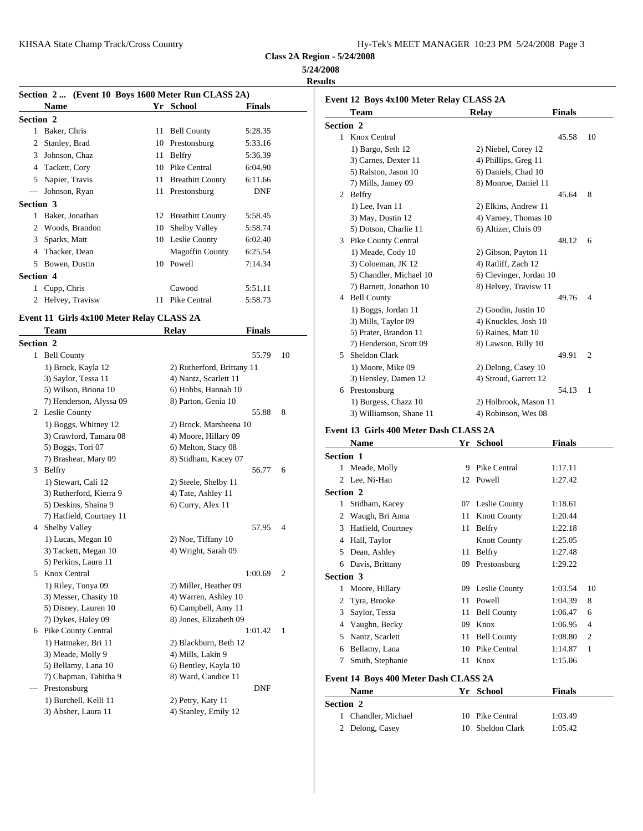| Hy-Tek's MEET MANAGER 10:23 PM 5/24/2008 Page 3 |  |  |  |
|-------------------------------------------------|--|--|--|
|-------------------------------------------------|--|--|--|

**Class 2A Region - 5/24/2008**

# **5/24/2008**

**Results**

|                  | Section 2  (Event 10 Boys 1600 Meter Run CLASS 2A) |    |                        |               | Event 12                    |
|------------------|----------------------------------------------------|----|------------------------|---------------|-----------------------------|
|                  | <b>Name</b>                                        |    | Yr School              | <b>Finals</b> | Tε                          |
| Section 2        |                                                    |    |                        |               |                             |
| 1                | Baker, Chris                                       |    | 11 Bell County         | 5:28.35       | <b>Section</b> :<br>Kr<br>1 |
| 2                | Stanley, Brad                                      |    | 10 Prestonsburg        | 5:33.16       |                             |
| 3                | Johnson, Chaz                                      |    | 11 Belfry              | 5:36.39       | 1)<br>3)                    |
| 4                | Tackett, Cory                                      | 10 | Pike Central           | 6:04.90       | 5)                          |
| 5                | Napier, Travis                                     |    | 11 Breathitt County    | 6:11.66       | 7)                          |
| $---$            | Johnson, Ryan                                      |    | 11 Prestonsburg        | DNF           | 2 Be                        |
| <b>Section 3</b> |                                                    |    |                        |               | 1)                          |
| 1                | Baker, Jonathan                                    |    | 12 Breathitt County    | 5:58.45       | 3)                          |
| 2                | Woods, Brandon                                     |    | 10 Shelby Valley       | 5:58.74       | 5)                          |
| 3                | Sparks, Matt                                       |    | 10 Leslie County       | 6:02.40       | Pil<br>3                    |
| 4                | Thacker, Dean                                      |    | <b>Magoffin County</b> | 6:25.54       | 1)                          |
| 5                | Bowen, Dustin                                      |    | 10 Powell              | 7:14.34       | 3)                          |
| <b>Section 4</b> |                                                    |    |                        |               | 5)                          |
|                  | Cupp, Chris                                        |    | Cawood                 | 5:51.11       | 7)                          |
| 2                | Helvey, Travisw                                    | 11 | Pike Central           | 5:58.73       | Be                          |
|                  |                                                    |    |                        |               | $\rightarrow$               |

# **Event 11 Girls 4x100 Meter Relay CLASS 2A**

|                  | <b>Team</b>              | <b>Relay</b>               | <b>Finals</b> |                |            | 5) Pra   |
|------------------|--------------------------|----------------------------|---------------|----------------|------------|----------|
| <b>Section 2</b> |                          |                            |               |                |            | $7)$ He  |
|                  | 1 Bell County            |                            | 55.79         | 10             | 5          | Sheld    |
|                  | 1) Brock, Kayla 12       | 2) Rutherford, Brittany 11 |               |                |            | $1)$ Mo  |
|                  | 3) Saylor, Tessa 11      | 4) Nantz, Scarlett 11      |               |                |            | $3)$ He  |
|                  | 5) Wilson, Briona 10     | 6) Hobbs, Hannah 10        |               |                |            | 6 Presto |
|                  | 7) Henderson, Alyssa 09  | 8) Parton, Genia 10        |               |                |            | $1)$ Bu  |
|                  | 2 Leslie County          |                            | 55.88         | 8              |            | $3)$ Wi  |
|                  | 1) Boggs, Whitney 12     | 2) Brock, Marsheena 10     |               |                |            |          |
|                  | 3) Crawford, Tamara 08   | 4) Moore, Hillary 09       |               |                | Event 13 G |          |
|                  | 5) Boggs, Tori 07        | 6) Melton, Stacy 08        |               |                |            | Nam      |
|                  | 7) Brashear, Mary 09     | 8) Stidham, Kacey 07       |               |                | Section 1  |          |
|                  | 3 Belfry                 |                            | 56.77         | 6              |            | 1 Mead   |
|                  | 1) Stewart, Cali 12      | 2) Steele, Shelby 11       |               |                | 2          | Lee, I   |
|                  | 3) Rutherford, Kierra 9  | 4) Tate, Ashley 11         |               |                | Section 2  |          |
|                  | 5) Deskins, Shaina 9     | 6) Curry, Alex 11          |               |                | 1          | Stidha   |
|                  | 7) Hatfield, Courtney 11 |                            |               |                | 2          | Waug     |
| 4                | Shelby Valley            |                            | 57.95         | $\overline{4}$ | 3          | Hatfie   |
|                  | 1) Lucas, Megan 10       | 2) Noe, Tiffany 10         |               |                | 4          | Hall.    |
|                  | 3) Tackett, Megan 10     | 4) Wright, Sarah 09        |               |                | 5          | Dean,    |
|                  | 5) Perkins, Laura 11     |                            |               |                | 6          | Davis    |
|                  | 5 Knox Central           |                            | 1:00.69       | $\overline{2}$ | Section 3  |          |
|                  | 1) Riley, Tonya 09       | 2) Miller, Heather 09      |               |                | 1          | Moor     |
|                  | 3) Messer, Chasity 10    | 4) Warren, Ashley 10       |               |                | 2          | Tyra,    |
|                  | 5) Disney, Lauren 10     | 6) Campbell, Amy 11        |               |                | 3          | Saylo    |
|                  | 7) Dykes, Haley 09       | 8) Jones, Elizabeth 09     |               |                | 4          | Vaugl    |
|                  | 6 Pike County Central    |                            | 1:01.42       | 1              | 5          | Nantz    |
|                  | 1) Hatmaker, Bri 11      | 2) Blackburn, Beth 12      |               |                | 6          | Bellar   |
|                  | 3) Meade, Molly 9        | 4) Mills, Lakin 9          |               |                | 7          |          |
|                  | 5) Bellamy, Lana 10      | 6) Bentley, Kayla 10       |               |                |            | Smith    |
|                  | 7) Chapman, Tabitha 9    | 8) Ward, Candice 11        |               |                | Event 14 B |          |
| $---$            | Prestonsburg             |                            | <b>DNF</b>    |                |            | Nam      |
|                  | 1) Burchell, Kelli 11    | 2) Petry, Katy 11          |               |                | Section 2  |          |
|                  | 3) Absher, Laura 11      | 4) Stanley, Emily 12       |               |                |            | 1 Chang  |

|           | Event 12 Boys 4x100 Meter Relay CLASS 2A |    |                         |               |    |
|-----------|------------------------------------------|----|-------------------------|---------------|----|
|           | Team                                     |    | Relay                   | <b>Finals</b> |    |
| Section 2 |                                          |    |                         |               |    |
|           | 1 Knox Central                           |    |                         | 45.58         | 10 |
|           | 1) Bargo, Seth 12                        |    | 2) Niebel, Corey 12     |               |    |
|           | 3) Carnes, Dexter 11                     |    | 4) Phillips, Greg 11    |               |    |
|           | 5) Ralston, Jason 10                     |    | 6) Daniels, Chad 10     |               |    |
|           | 7) Mills, Jamey 09                       |    | 8) Monroe, Daniel 11    |               |    |
|           | 2 Belfry                                 |    |                         | 45.64         | 8  |
|           | 1) Lee, Ivan 11                          |    | 2) Elkins, Andrew 11    |               |    |
|           | 3) May, Dustin 12                        |    | 4) Varney, Thomas 10    |               |    |
|           | 5) Dotson, Charlie 11                    |    | 6) Altizer, Chris 09    |               |    |
|           | 3 Pike County Central                    |    |                         | 48.12         | 6  |
|           | 1) Meade, Cody 10                        |    | 2) Gibson, Payton 11    |               |    |
|           | 3) Coloeman, JK 12                       |    | 4) Ratliff, Zach 12     |               |    |
|           | 5) Chandler, Michael 10                  |    | 6) Clevinger, Jordan 10 |               |    |
|           | 7) Barnett, Jonathon 10                  |    | 8) Helvey, Travisw 11   |               |    |
|           | 4 Bell County                            |    |                         | 49.76         | 4  |
|           | 1) Boggs, Jordan 11                      |    | 2) Goodin, Justin 10    |               |    |
|           | 3) Mills, Taylor 09                      |    | 4) Knuckles, Josh 10    |               |    |
|           | 5) Prater, Brandon 11                    |    | 6) Raines, Matt 10      |               |    |
|           | 7) Henderson, Scott 09                   |    | 8) Lawson, Billy 10     |               |    |
| 5.        | Sheldon Clark                            |    |                         | 49.91         | 2  |
|           | 1) Moore, Mike 09                        |    | 2) Delong, Casey 10     |               |    |
|           | 3) Hensley, Damen 12                     |    | 4) Stroud, Garrett 12   |               |    |
|           | 6 Prestonsburg                           |    |                         | 54.13         | 1  |
|           | 1) Burgess, Chazz 10                     |    | 2) Holbrook, Mason 11   |               |    |
|           | 3) Williamson, Shane 11                  |    | 4) Robinson, Wes 08     |               |    |
|           | Event 13 Girls 400 Meter Dash CLASS 2A   |    |                         |               |    |
|           | <b>Name</b>                              |    | Yr School               | <b>Finals</b> |    |
| Section 1 |                                          |    |                         |               |    |
|           | 1 Meade, Molly                           | 9  | Pike Central            | 1:17.11       |    |
|           | 2 Lee, Ni-Han                            |    | 12 Powell               | 1:27.42       |    |
| Section 2 |                                          |    |                         |               |    |
| 1         | Stidham, Kacey                           |    | 07 Leslie County        | 1:18.61       |    |
| 2         | Waugh, Bri Anna                          | 11 | <b>Knott County</b>     | 1:20.44       |    |
|           |                                          |    |                         |               |    |

|                  | <b>Name</b>                           | Y r | School              | Finals        |                |
|------------------|---------------------------------------|-----|---------------------|---------------|----------------|
| <b>Section 1</b> |                                       |     |                     |               |                |
| 1                | Meade, Molly                          | 9   | Pike Central        | 1:17.11       |                |
|                  | 2 Lee, Ni-Han                         | 12  | Powell              | 1:27.42       |                |
| Section 2        |                                       |     |                     |               |                |
| $\mathbf{1}$     | Stidham, Kacey                        |     | 07 Leslie County    | 1:18.61       |                |
| 2                | Waugh, Bri Anna                       | 11  | <b>Knott County</b> | 1:20.44       |                |
| 3                | Hatfield, Courtney                    | 11  | Belfry              | 1:22.18       |                |
| 4                | Hall, Taylor                          |     | <b>Knott County</b> | 1:25.05       |                |
| 5                | Dean, Ashley                          | 11  | Belfry              | 1:27.48       |                |
| 6                | Davis, Brittany                       | 09  | Prestonsburg        | 1:29.22       |                |
| <b>Section 3</b> |                                       |     |                     |               |                |
| 1                | Moore, Hillary                        |     | 09 Leslie County    | 1:03.54       | 10             |
| 2                | Tyra, Brooke                          | 11  | Powell              | 1:04.39       | 8              |
| 3                | Saylor, Tessa                         | 11  | <b>Bell County</b>  | 1:06.47       | 6              |
| 4                | Vaughn, Becky                         | 09  | Knox                | 1:06.95       | $\overline{4}$ |
| 5                | Nantz, Scarlett                       | 11  | <b>Bell County</b>  | 1:08.80       | 2              |
| 6                | Bellamy, Lana                         | 10  | Pike Central        | 1:14.87       | 1              |
| 7                | Smith, Stephanie                      | 11  | Knox                | 1:15.06       |                |
|                  | Event 14 Boys 400 Meter Dash CLASS 2A |     |                     |               |                |
|                  | <b>Name</b>                           | Yr  | <b>School</b>       | <b>Finals</b> |                |
| <b>Section 2</b> |                                       |     |                     |               |                |
| 1                | Chandler, Michael                     | 10  | Pike Central        | 1:03.49       |                |
| $\overline{2}$   | Delong, Casey                         | 10  | Sheldon Clark       | 1:05.42       |                |
|                  |                                       |     |                     |               |                |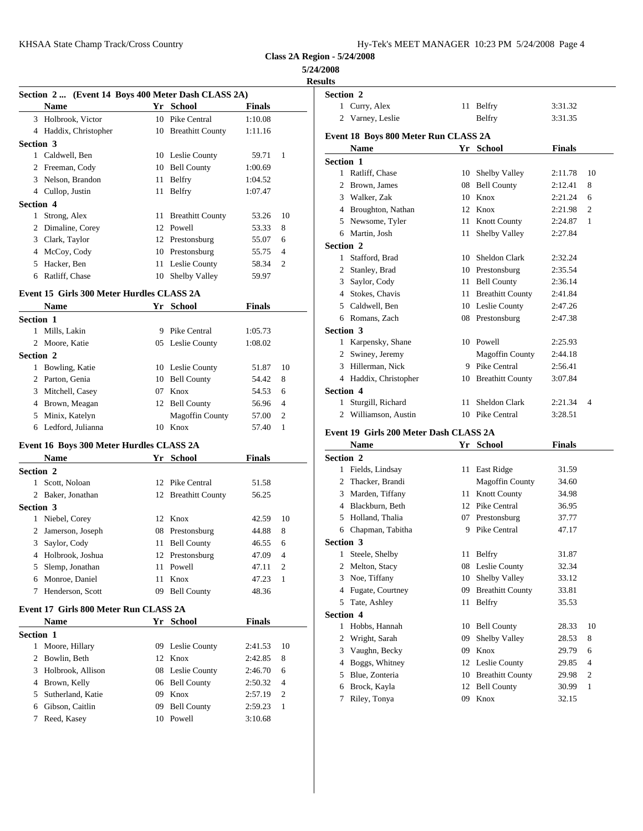| Hy-Tek's MEET MANAGER  10:23 PM  5/24/2008  Page 4 |  |  |  |
|----------------------------------------------------|--|--|--|
|----------------------------------------------------|--|--|--|

**Class 2A Region - 5/24/2008**

# **5/24/2008**

|                                                            |                        |               |                         | <b>Results</b>                         |    |                         |               |
|------------------------------------------------------------|------------------------|---------------|-------------------------|----------------------------------------|----|-------------------------|---------------|
| Section 2  (Event 14 Boys 400 Meter Dash CLASS 2A)<br>Name | Yr School              | <b>Finals</b> |                         | Section 2<br>1 Curry, Alex             |    | 11 Belfry               | 3:31.32       |
| 3 Holbrook, Victor                                         | 10 Pike Central        | 1:10.08       |                         | 2 Varney, Leslie                       |    | Belfry                  | 3:31.35       |
|                                                            |                        | 1:11.16       |                         |                                        |    |                         |               |
| 4 Haddix, Christopher<br>Section 3                         | 10 Breathitt County    |               |                         | Event 18 Boys 800 Meter Run CLASS 2A   |    |                         |               |
| 1 Caldwell, Ben                                            | 10 Leslie County       | 59.71         | -1                      | Name                                   |    | Yr School               | <b>Finals</b> |
| 2 Freeman, Cody                                            | 10 Bell County         | 1:00.69       |                         | Section 1                              |    |                         |               |
| 3 Nelson, Brandon                                          |                        | 1:04.52       |                         | 1 Ratliff, Chase                       |    | 10 Shelby Valley        | 2:11.78       |
|                                                            | 11 Belfry              |               |                         | 2 Brown, James                         | 08 | <b>Bell County</b>      | 2:12.41       |
| 4 Cullop, Justin                                           | 11 Belfry              | 1:07.47       |                         | 3 Walker, Zak                          | 10 | Knox                    | 2:21.24       |
| Section 4                                                  |                        |               |                         | 4 Broughton, Nathan                    | 12 | Knox                    | 2:21.98       |
| 1 Strong, Alex                                             | 11 Breathitt County    | 53.26         | 10                      | 5 Newsome, Tyler                       |    | 11 Knott County         | 2:24.87       |
| 2 Dimaline, Corey                                          | 12 Powell              | 53.33         | 8                       | 6 Martin, Josh                         |    | 11 Shelby Valley        | 2:27.84       |
| 3 Clark, Taylor                                            | 12 Prestonsburg        | 55.07         | 6                       | Section 2                              |    |                         |               |
| 4 McCoy, Cody                                              | 10 Prestonsburg        | 55.75         | $\overline{4}$          | 1 Stafford, Brad                       |    | 10 Sheldon Clark        | 2:32.24       |
| 5 Hacker, Ben                                              | 11 Leslie County       | 58.34         | $\overline{2}$          | 2 Stanley, Brad                        |    | 10 Prestonsburg         | 2:35.54       |
| 6 Ratliff, Chase                                           | 10 Shelby Valley       | 59.97         |                         | 3 Saylor, Cody                         |    | 11 Bell County          | 2:36.14       |
| Event 15 Girls 300 Meter Hurdles CLASS 2A                  |                        |               |                         | 4 Stokes, Chavis                       |    | 11 Breathitt County     | 2:41.84       |
| Name                                                       | Yr School              | <b>Finals</b> |                         | 5 Caldwell, Ben                        |    | 10 Leslie County        | 2:47.26       |
| Section 1                                                  |                        |               |                         | 6 Romans, Zach                         |    | 08 Prestonsburg         | 2:47.38       |
| 1 Mills, Lakin                                             | 9 Pike Central         | 1:05.73       |                         | Section 3                              |    |                         |               |
| 2 Moore, Katie                                             | 05 Leslie County       | 1:08.02       |                         | 1 Karpensky, Shane                     |    | 10 Powell               | 2:25.93       |
| Section 2                                                  |                        |               |                         | 2 Swiney, Jeremy                       |    | <b>Magoffin County</b>  | 2:44.18       |
| 1 Bowling, Katie                                           | 10 Leslie County       | 51.87         | 10                      | 3 Hillerman, Nick                      |    | 9 Pike Central          | 2:56.41       |
| 2 Parton, Genia                                            | 10 Bell County         | 54.42         | 8                       | 4 Haddix, Christopher                  |    | 10 Breathitt County     | 3:07.84       |
| 3 Mitchell, Casey                                          | 07 Knox                | 54.53         | 6                       | Section 4                              |    |                         |               |
| 4 Brown, Meagan                                            | 12 Bell County         | 56.96         | $\overline{4}$          | 1 Sturgill, Richard                    |    | 11 Sheldon Clark        | 2:21.34       |
| 5 Minix, Katelyn                                           | <b>Magoffin County</b> | 57.00         | $\overline{2}$          | 2 Williamson, Austin                   |    | 10 Pike Central         | 3:28.51       |
| 6 Ledford, Julianna                                        | 10 Knox                | 57.40         | -1                      |                                        |    |                         |               |
|                                                            |                        |               |                         | Event 19 Girls 200 Meter Dash CLASS 2A |    |                         |               |
| Event 16 Boys 300 Meter Hurdles CLASS 2A                   |                        |               |                         | Name                                   |    | Yr School               | <b>Finals</b> |
| Name                                                       | Yr School              | <b>Finals</b> |                         | Section 2                              |    |                         |               |
| Section 2                                                  |                        |               |                         | 1 Fields, Lindsay                      |    | 11 East Ridge           | 31.59         |
| 1 Scott, Noloan                                            | 12 Pike Central        | 51.58         |                         | 2 Thacker, Brandi                      |    | <b>Magoffin County</b>  | 34.60         |
| 2 Baker, Jonathan                                          | 12 Breathitt County    | 56.25         |                         | 3 Marden, Tiffany                      |    | 11 Knott County         | 34.98         |
| <b>Section 3</b>                                           |                        |               |                         | 4 Blackburn, Beth                      |    | 12 Pike Central         | 36.95         |
| 1 Niebel, Corey                                            | 12 Knox                | 42.59         | 10                      | 5 Holland, Thalia                      | 07 | Prestonsburg            | 37.77         |
| Jamerson, Joseph<br>2                                      | 08 Prestonsburg        | 44.88         | 8                       | 6 Chapman, Tabitha                     |    | 9 Pike Central          | 47.17         |
| 3 Saylor, Cody                                             | 11 Bell County         | 46.55         | 6                       | Section 3                              |    |                         |               |
| 4 Holbrook, Joshua                                         | 12 Prestonsburg        | 47.09         | 4                       | 1 Steele, Shelby                       |    | 11 Belfry               | 31.87         |
| 5 Slemp, Jonathan                                          | 11 Powell              | 47.11         | $\overline{\mathbf{c}}$ | 2 Melton, Stacy                        |    | 08 Leslie County        | 32.34         |
| 6 Monroe, Daniel                                           | 11 Knox                | 47.23         | 1                       | 3 Noe, Tiffany                         |    | 10 Shelby Valley        | 33.12         |
| 7 Henderson, Scott                                         | 09 Bell County         | 48.36         |                         | 4 Fugate, Courtney                     | 09 | <b>Breathitt County</b> | 33.81         |
| Event 17 Girls 800 Meter Run CLASS 2A                      |                        |               |                         | 5 Tate, Ashley                         |    | 11 Belfry               | 35.53         |
| <b>Name</b>                                                | Yr School              | <b>Finals</b> |                         | Section 4                              |    |                         |               |
| Section 1                                                  |                        |               |                         | 1 Hobbs, Hannah                        |    | 10 Bell County          | 28.33         |
| 1 Moore, Hillary                                           | 09 Leslie County       | 2:41.53       | 10                      | 2 Wright, Sarah                        | 09 | <b>Shelby Valley</b>    | 28.53         |
| 2 Bowlin, Beth                                             | 12 Knox                | 2:42.85       | 8                       | 3 Vaughn, Becky                        | 09 | Knox                    | 29.79         |
| 3 Holbrook, Allison                                        | 08 Leslie County       | 2:46.70       | 6                       | 4 Boggs, Whitney                       |    | 12 Leslie County        | 29.85         |
| 4 Brown, Kelly                                             | 06 Bell County         | 2:50.32       | $\overline{4}$          | 5 Blue, Zonteria                       |    | 10 Breathitt County     | 29.98         |
| 5 Sutherland, Katie                                        | 09 Knox                | 2:57.19       | 2                       | 6 Brock, Kayla                         |    | 12 Bell County          | 30.99         |
|                                                            |                        |               |                         | 7 Riley, Tonya                         |    | 09 Knox                 | 32.15         |

| $+$ DIOWII, NEITY   | <b>OO</b> Dell County | $2.50.32 +$ |     |
|---------------------|-----------------------|-------------|-----|
| 5 Sutherland, Katie | 09 Knox               | $2:57.19$ 2 |     |
| 6 Gibson, Caitlin   | 09 Bell County        | 2:59.23     | - 1 |
| 7 Reed, Kasey       | 10 Powell             | 3:10.68     |     |
|                     |                       |             |     |

| Section 2 |                                      |    |                         |               |    |
|-----------|--------------------------------------|----|-------------------------|---------------|----|
|           | 1 Curry, Alex                        |    | 11 Belfry               | 3:31.32       |    |
|           | 2 Varney, Leslie                     |    | Belfry                  | 3:31.35       |    |
|           | Event 18 Boys 800 Meter Run CLASS 2A |    |                         |               |    |
|           | <b>Name</b>                          |    | Yr School               | <b>Finals</b> |    |
| Section 1 |                                      |    |                         |               |    |
|           | 1 Ratliff, Chase                     |    | 10 Shelby Valley        | 2:11.78       | 10 |
|           | 2 Brown, James                       | 08 | <b>Bell County</b>      | 2:12.41       | 8  |
|           | 3 Walker, Zak                        |    | 10 Knox                 | 2:21.24       | 6  |
|           | 4 Broughton, Nathan                  |    | 12 Knox                 | 2:21.98       | 2  |
|           | 5 Newsome, Tyler                     |    | 11 Knott County         | 2:24.87       | 1  |
|           | 6 Martin, Josh                       | 11 | Shelby Valley           | 2:27.84       |    |
| Section 2 |                                      |    |                         |               |    |
|           | 1 Stafford, Brad                     | 10 | Sheldon Clark           | 2:32.24       |    |
|           | 2 Stanley, Brad                      |    | 10 Prestonsburg         | 2:35.54       |    |
| 3         | Saylor, Cody                         |    | 11 Bell County          | 2:36.14       |    |
| 4         | Stokes, Chavis                       | 11 | <b>Breathitt County</b> | 2:41.84       |    |
| 5         | Caldwell, Ben                        |    | 10 Leslie County        | 2:47.26       |    |
|           | 6 Romans, Zach                       |    | 08 Prestonsburg         | 2:47.38       |    |
| Section 3 |                                      |    |                         |               |    |
|           | 1 Karpensky, Shane                   |    | 10 Powell               | 2:25.93       |    |
| 2         | Swiney, Jeremy                       |    | <b>Magoffin County</b>  | 2:44.18       |    |
| 3.        | Hillerman, Nick                      |    | 9 Pike Central          | 2:56.41       |    |
| 4         | Haddix, Christopher                  |    | 10 Breathitt County     | 3:07.84       |    |
| Section 4 |                                      |    |                         |               |    |
|           | 1 Sturgill, Richard                  | 11 | Sheldon Clark           | 2:21.34       | 4  |
|           | 2 Williamson, Austin                 |    | 10 Pike Central         | 3:28.51       |    |

|                  | Name              |    | Yr School               | <b>Finals</b> |                |
|------------------|-------------------|----|-------------------------|---------------|----------------|
| <b>Section 2</b> |                   |    |                         |               |                |
|                  | 1 Fields, Lindsay |    | 11 East Ridge           | 31.59         |                |
| 2                | Thacker, Brandi   |    | <b>Magoffin County</b>  | 34.60         |                |
| 3                | Marden, Tiffany   | 11 | <b>Knott County</b>     | 34.98         |                |
| 4                | Blackburn, Beth   |    | 12 Pike Central         | 36.95         |                |
| 5                | Holland, Thalia   | 07 | Prestonsburg            | 37.77         |                |
| 6                | Chapman, Tabitha  | 9  | Pike Central            | 47.17         |                |
| <b>Section 3</b> |                   |    |                         |               |                |
|                  | Steele, Shelby    |    | 11 Belfry               | 31.87         |                |
|                  | Melton, Stacy     |    | 08 Leslie County        | 32.34         |                |
| 3                | Noe, Tiffany      | 10 | Shelby Valley           | 33.12         |                |
| 4                | Fugate, Courtney  | 09 | <b>Breathitt County</b> | 33.81         |                |
| 5                | Tate, Ashley      |    | 11 Belfry               | 35.53         |                |
| <b>Section 4</b> |                   |    |                         |               |                |
|                  | Hobbs, Hannah     |    | 10 Bell County          | 28.33         | 10             |
| 2                | Wright, Sarah     | 09 | Shelby Valley           | 28.53         | 8              |
| 3                | Vaughn, Becky     | 09 | Knox                    | 29.79         | 6              |
| 4                | Boggs, Whitney    | 12 | Leslie County           | 29.85         | $\overline{4}$ |
| 5                | Blue, Zonteria    | 10 | <b>Breathitt County</b> | 29.98         | $\overline{2}$ |
| 6                | Brock, Kayla      | 12 | <b>Bell County</b>      | 30.99         | 1              |
| 7                | Riley, Tonya      | 09 | Knox                    | 32.15         |                |
|                  |                   |    |                         |               |                |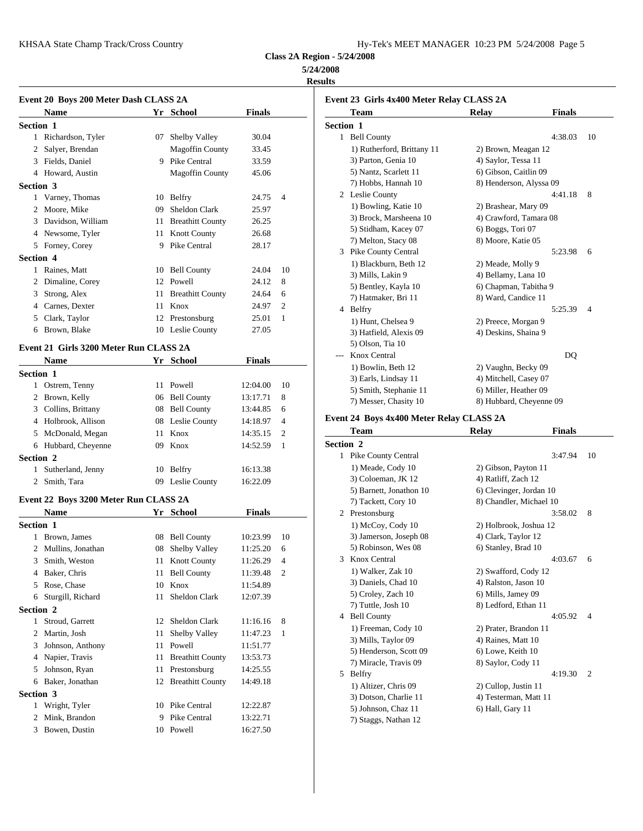KHSAA State Champ Track/Cross Country

**Class 2A Region - 5/24/2008**

## **5/24/2008**

**Results**

|           | Event 20 Boys 200 Meter Dash CLASS 2A  |    |                        |               |                |
|-----------|----------------------------------------|----|------------------------|---------------|----------------|
|           | <b>Name</b>                            |    | Yr School              | <b>Finals</b> |                |
| Section 1 |                                        |    |                        |               |                |
|           | 1 Richardson, Tyler                    |    | 07 Shelby Valley       | 30.04         |                |
|           | 2 Salyer, Brendan                      |    | <b>Magoffin County</b> | 33.45         |                |
|           | 3 Fields, Daniel                       |    | 9 Pike Central         | 33.59         |                |
|           | 4 Howard, Austin                       |    | <b>Magoffin County</b> | 45.06         |                |
| Section 3 |                                        |    |                        |               |                |
|           | 1 Varney, Thomas                       |    | 10 Belfry              | 24.75         | $\overline{4}$ |
|           | 2 Moore, Mike                          |    | 09 Sheldon Clark       | 25.97         |                |
|           | 3 Davidson, William                    |    | 11 Breathitt County    | 26.25         |                |
|           | 4 Newsome, Tyler                       |    | 11 Knott County        | 26.68         |                |
|           | 5 Forney, Corey                        |    | 9 Pike Central         | 28.17         |                |
| Section 4 |                                        |    |                        |               |                |
|           | 1 Raines, Matt                         |    | 10 Bell County         | 24.04         | 10             |
|           | 2 Dimaline, Corey                      |    | 12 Powell              | 24.12         | 8              |
|           | 3 Strong, Alex                         |    | 11 Breathitt County    | 24.64         | 6              |
|           | 4 Carnes, Dexter                       |    | 11 Knox                | 24.97         | 2              |
|           | 5 Clark, Taylor                        |    | 12 Prestonsburg        | 25.01         | -1             |
|           | 6 Brown, Blake                         |    | 10 Leslie County       | 27.05         |                |
|           |                                        |    |                        |               |                |
|           | Event 21 Girls 3200 Meter Run CLASS 2A |    |                        |               |                |
|           | Name                                   |    | Yr School              | <b>Finals</b> |                |
| Section 1 |                                        |    |                        |               |                |
|           | 1 Ostrem, Tenny                        |    | 11 Powell              | 12:04.00      | 10             |
|           | 2 Brown, Kelly                         |    | 06 Bell County         | 13:17.71      | 8              |
|           | 3 Collins, Brittany                    |    | 08 Bell County         | 13:44.85      | 6              |
|           | 4 Holbrook, Allison                    |    | 08 Leslie County       | 14:18.97      | 4              |
|           | 5 McDonald, Megan                      |    | 11 Knox                | 14:35.15      | 2              |
|           | 6 Hubbard, Cheyenne                    |    | 09 Knox                | 14:52.59      | -1             |
| Section 2 |                                        |    |                        |               |                |
|           | 1 Sutherland, Jenny                    |    | 10 Belfry              | 16:13.38      |                |
|           | 2 Smith, Tara                          |    | 09 Leslie County       | 16:22.09      |                |
|           | Event 22 Boys 3200 Meter Run CLASS 2A  |    |                        |               |                |
|           |                                        |    | Yr School              |               |                |
|           | <b>Name</b>                            |    |                        | <b>Finals</b> |                |
| Section 1 |                                        |    |                        |               |                |
|           | Brown, James                           |    | 08 Bell County         | 10:23.99      | 10             |
|           | 2 Mullins, Jonathan                    |    | 08 Shelby Valley       | 11:25.20      | 6              |
| 3         | Smith, Weston                          |    | 11 Knott County        | 11:26.29      | $\overline{4}$ |
| 4         | Baker, Chris                           |    | 11 Bell County         | 11:39.48      | $\overline{c}$ |
|           | 5 Rose, Chase                          | 10 | Knox                   | 11:54.89      |                |
| 6         | Sturgill, Richard                      |    | 11 Sheldon Clark       | 12:07.39      |                |
| Section 2 |                                        |    |                        |               |                |
|           | 1 Stroud, Garrett                      |    | 12 Sheldon Clark       | 11:16.16 8    |                |
|           | 2 Martin, Josh                         |    | 11 Shelby Valley       | 11:47.23      | -1             |
|           | 3 Johnson, Anthony                     |    | 11 Powell              | 11:51.77      |                |
|           | 4 Napier, Travis                       |    | 11 Breathitt County    | 13:53.73      |                |
|           | 5 Johnson, Ryan                        |    | 11 Prestonsburg        | 14:25.55      |                |
|           | 6 Baker, Jonathan                      |    | 12 Breathitt County    | 14:49.18      |                |
|           |                                        |    |                        |               |                |
| Section 3 |                                        |    |                        |               |                |
|           | 1 Wright, Tyler                        |    | 10 Pike Central        | 12:22.87      |                |
|           | 2 Mink, Brandon                        |    | 9 Pike Central         | 13:22.71      |                |
|           |                                        |    |                        |               |                |

|                  | Event 23 Girls 4x400 Meter Relay CLASS 2A |                         |               |                |
|------------------|-------------------------------------------|-------------------------|---------------|----------------|
|                  | <b>Team</b>                               | <b>Relay</b>            | <b>Finals</b> |                |
| <b>Section 1</b> |                                           |                         |               |                |
| $\mathbf{1}$     | <b>Bell County</b>                        |                         | 4:38.03       | 10             |
|                  | 1) Rutherford, Brittany 11                | 2) Brown, Meagan 12     |               |                |
|                  | 3) Parton, Genia 10                       | 4) Saylor, Tessa 11     |               |                |
|                  | 5) Nantz, Scarlett 11                     | 6) Gibson, Caitlin 09   |               |                |
|                  | 7) Hobbs, Hannah 10                       | 8) Henderson, Alyssa 09 |               |                |
|                  | 2 Leslie County                           |                         | 4:41.18       | 8              |
|                  | 1) Bowling, Katie 10                      | 2) Brashear, Mary 09    |               |                |
|                  | 3) Brock, Marsheena 10                    | 4) Crawford, Tamara 08  |               |                |
|                  | 5) Stidham, Kacey 07                      | 6) Boggs, Tori 07       |               |                |
|                  | 7) Melton, Stacy 08                       | 8) Moore, Katie 05      |               |                |
| 3.               | <b>Pike County Central</b>                |                         | 5:23.98       | 6              |
|                  | 1) Blackburn, Beth 12                     | 2) Meade, Molly 9       |               |                |
|                  | 3) Mills, Lakin 9                         | 4) Bellamy, Lana 10     |               |                |
|                  | 5) Bentley, Kayla 10                      | 6) Chapman, Tabitha 9   |               |                |
|                  | 7) Hatmaker, Bri 11                       | 8) Ward, Candice 11     |               |                |
|                  | 4 Belfry                                  |                         | 5:25.39       | $\overline{4}$ |
|                  | 1) Hunt, Chelsea 9                        | 2) Preece, Morgan 9     |               |                |
|                  | 3) Hatfield, Alexis 09                    | 4) Deskins, Shaina 9    |               |                |
|                  | 5) Olson, Tia 10                          |                         |               |                |
| ---              | Knox Central                              |                         | DQ            |                |
|                  | 1) Bowlin, Beth 12                        | 2) Vaughn, Becky 09     |               |                |
|                  | 3) Earls, Lindsay 11                      | 4) Mitchell, Casey 07   |               |                |
|                  | 5) Smith, Stephanie 11                    | 6) Miller, Heather 09   |               |                |
|                  | 7) Messer, Chasity 10                     | 8) Hubbard, Cheyenne 09 |               |                |

|                  | <b>Team</b>             | <b>Relay</b>            | <b>Finals</b> |                |
|------------------|-------------------------|-------------------------|---------------|----------------|
| <b>Section 2</b> |                         |                         |               |                |
|                  | 1 Pike County Central   |                         | 3:47.94       | 10             |
|                  | 1) Meade, Cody 10       | 2) Gibson, Payton 11    |               |                |
|                  | 3) Coloeman, JK 12      | 4) Ratliff, Zach 12     |               |                |
|                  | 5) Barnett, Jonathon 10 | 6) Clevinger, Jordan 10 |               |                |
|                  | 7) Tackett, Cory 10     | 8) Chandler, Michael 10 |               |                |
|                  | 2 Prestonsburg          |                         | 3:58.02       | 8              |
|                  | 1) McCoy, Cody 10       | 2) Holbrook, Joshua 12  |               |                |
|                  | 3) Jamerson, Joseph 08  | 4) Clark, Taylor 12     |               |                |
|                  | 5) Robinson, Wes 08     | 6) Stanley, Brad 10     |               |                |
| 3                | Knox Central            |                         | 4:03.67       | 6              |
|                  | 1) Walker, Zak 10       | 2) Swafford, Cody 12    |               |                |
|                  | 3) Daniels, Chad 10     | 4) Ralston, Jason 10    |               |                |
|                  | 5) Croley, Zach 10      | 6) Mills, Jamey 09      |               |                |
|                  | 7) Tuttle, Josh 10      | 8) Ledford, Ethan 11    |               |                |
| 4                | <b>Bell County</b>      |                         | 4:05.92       | $\overline{4}$ |
|                  | 1) Freeman, Cody 10     | 2) Prater, Brandon 11   |               |                |
|                  | 3) Mills, Taylor 09     | 4) Raines, Matt 10      |               |                |
|                  | 5) Henderson, Scott 09  | 6) Lowe, Keith 10       |               |                |
|                  | 7) Miracle, Travis 09   | 8) Saylor, Cody 11      |               |                |
| 5                | Belfry                  |                         | 4:19.30       | $\overline{2}$ |
|                  | 1) Altizer, Chris 09    | 2) Cullop, Justin 11    |               |                |
|                  | 3) Dotson, Charlie 11   | 4) Testerman, Matt 11   |               |                |
|                  | 5) Johnson, Chaz 11     | 6) Hall, Gary 11        |               |                |
|                  | 7) Staggs, Nathan 12    |                         |               |                |